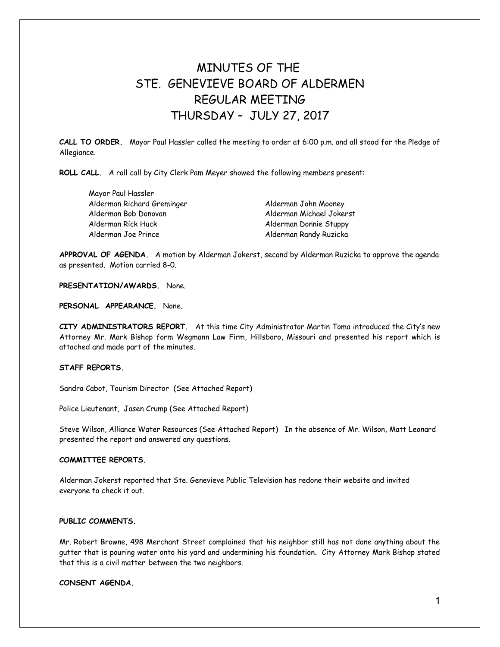# MINUTES OF THE STE. GENEVIEVE BOARD OF ALDERMEN REGULAR MEETING THURSDAY – JULY 27, 2017

**CALL TO ORDER.** Mayor Paul Hassler called the meeting to order at 6:00 p.m. and all stood for the Pledge of Allegiance.

**ROLL CALL.** A roll call by City Clerk Pam Meyer showed the following members present:

| Mayor Paul Hassler         |
|----------------------------|
| Alderman Richard Greminger |
| Alderman Bob Donovan       |
| Alderman Rick Huck         |
| Alderman Joe Prince        |

Alderman John Mooney Alderman Michael Jokerst Alderman Donnie Stuppy Alderman Randy Ruzicka

**APPROVAL OF AGENDA.** A motion by Alderman Jokerst, second by Alderman Ruzicka to approve the agenda as presented. Motion carried 8-0.

**PRESENTATION/AWARDS.** None.

**PERSONAL APPEARANCE.** None.

**CITY ADMINISTRATORS REPORT.** At this time City Administrator Martin Toma introduced the City's new Attorney Mr. Mark Bishop form Wegmann Law Firm, Hillsboro, Missouri and presented his report which is attached and made part of the minutes.

# **STAFF REPORTS.**

Sandra Cabot, Tourism Director (See Attached Report)

Police Lieutenant, Jasen Crump (See Attached Report)

Steve Wilson, Alliance Water Resources (See Attached Report) In the absence of Mr. Wilson, Matt Leonard presented the report and answered any questions.

#### **COMMITTEE REPORTS.**

Alderman Jokerst reported that Ste. Genevieve Public Television has redone their website and invited everyone to check it out.

## **PUBLIC COMMENTS.**

Mr. Robert Browne, 498 Merchant Street complained that his neighbor still has not done anything about the gutter that is pouring water onto his yard and undermining his foundation. City Attorney Mark Bishop stated that this is a civil matter between the two neighbors.

#### **CONSENT AGENDA.**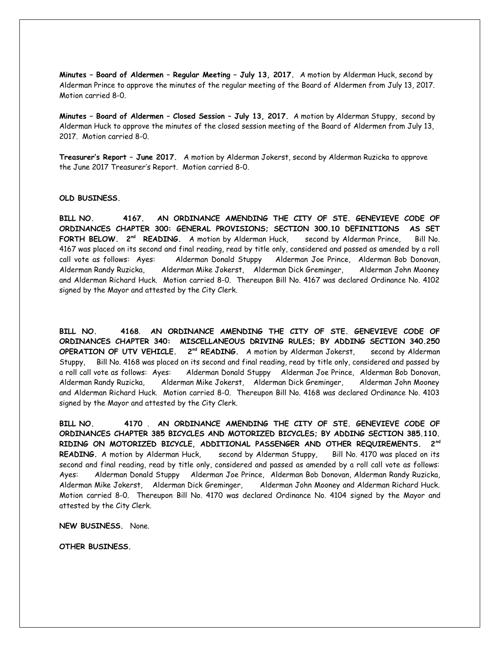**Minutes – Board of Aldermen – Regular Meeting – July 13, 2017.** A motion by Alderman Huck, second by Alderman Prince to approve the minutes of the regular meeting of the Board of Aldermen from July 13, 2017. Motion carried 8-0.

**Minutes – Board of Aldermen – Closed Session – July 13, 2017.** A motion by Alderman Stuppy, second by Alderman Huck to approve the minutes of the closed session meeting of the Board of Aldermen from July 13, 2017. Motion carried 8-0.

**Treasurer's Report – June 2017.** A motion by Alderman Jokerst, second by Alderman Ruzicka to approve the June 2017 Treasurer's Report. Motion carried 8-0.

#### **OLD BUSINESS.**

**BILL NO. 4167. AN ORDINANCE AMENDING THE CITY OF STE. GENEVIEVE CODE OF ORDINANCES CHAPTER 300: GENERAL PROVISIONS; SECTION 300.10 DEFINITIONS AS SET FORTH BELOW. 2nd READING.** A motion by Alderman Huck, second by Alderman Prince, Bill No. 4167 was placed on its second and final reading, read by title only, considered and passed as amended by a roll call vote as follows: Ayes: Alderman Donald Stuppy Alderman Joe Prince, Alderman Bob Donovan, Alderman Randy Ruzicka, Alderman Mike Jokerst, Alderman Dick Greminger, Alderman John Mooney and Alderman Richard Huck. Motion carried 8-0. Thereupon Bill No. 4167 was declared Ordinance No. 4102 signed by the Mayor and attested by the City Clerk.

**BILL NO. 4168**. **AN ORDINANCE AMENDING THE CITY OF STE. GENEVIEVE CODE OF ORDINANCES CHAPTER 340: MISCELLANEOUS DRIVING RULES; BY ADDING SECTION 340.250 OPERATION OF UTV VEHICLE. 2nd READING.** A motion by Alderman Jokerst, second by Alderman Stuppy, Bill No. 4168 was placed on its second and final reading, read by title only, considered and passed by a roll call vote as follows: Ayes: Alderman Donald Stuppy Alderman Joe Prince, Alderman Bob Donovan, Alderman Randy Ruzicka, Alderman Mike Jokerst, Alderman Dick Greminger, Alderman John Mooney and Alderman Richard Huck. Motion carried 8-0. Thereupon Bill No. 4168 was declared Ordinance No. 4103 signed by the Mayor and attested by the City Clerk.

**BILL NO. 4170** . **AN ORDINANCE AMENDING THE CITY OF STE. GENEVIEVE CODE OF ORDINANCES CHAPTER 385 BICYCLES AND MOTORIZED BICYCLES; BY ADDING SECTION 385.110. RIDING ON MOTORIZED BICYCLE, ADDITIONAL PASSENGER AND OTHER REQUIREMENTS. 2nd** READING. A motion by Alderman Huck, second by Alderman Stuppy, Bill No. 4170 was placed on its second and final reading, read by title only, considered and passed as amended by a roll call vote as follows: Ayes: Alderman Donald Stuppy Alderman Joe Prince, Alderman Bob Donovan, Alderman Randy Ruzicka, Alderman Mike Jokerst, Alderman Dick Greminger, Alderman John Mooney and Alderman Richard Huck. Motion carried 8-0. Thereupon Bill No. 4170 was declared Ordinance No. 4104 signed by the Mayor and attested by the City Clerk.

**NEW BUSINESS.** None.

**OTHER BUSINESS.**